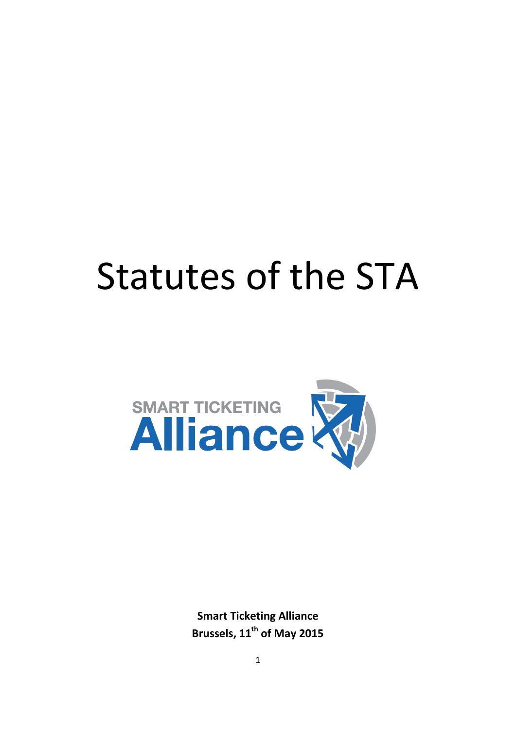# Statutes of the STA



**Smart Ticketing Alliance Brussels, 11th of May 2015**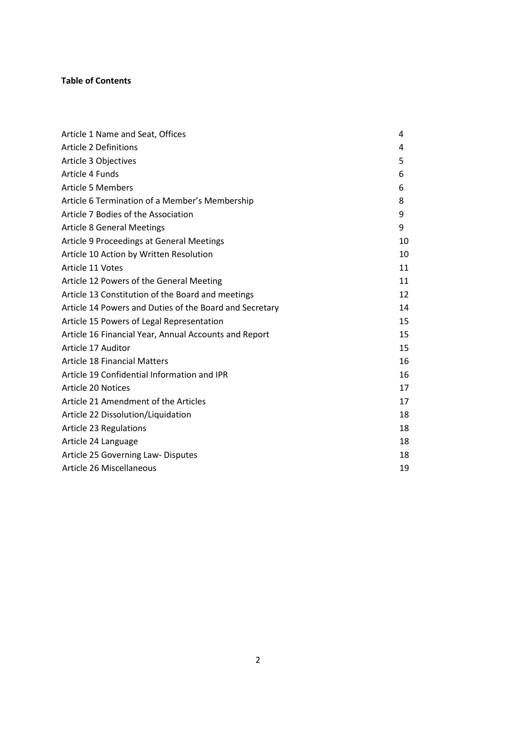# **Table of Contents**

| Article 1 Name and Seat, Offices                        | 4  |
|---------------------------------------------------------|----|
| <b>Article 2 Definitions</b>                            | 4  |
| Article 3 Objectives                                    | 5  |
| Article 4 Funds                                         | 6  |
| <b>Article 5 Members</b>                                | 6  |
| Article 6 Termination of a Member's Membership          | 8  |
| Article 7 Bodies of the Association                     | 9  |
| <b>Article 8 General Meetings</b>                       | 9  |
| Article 9 Proceedings at General Meetings               | 10 |
| Article 10 Action by Written Resolution                 | 10 |
| Article 11 Votes                                        | 11 |
| Article 12 Powers of the General Meeting                | 11 |
| Article 13 Constitution of the Board and meetings       | 12 |
| Article 14 Powers and Duties of the Board and Secretary | 14 |
| Article 15 Powers of Legal Representation               | 15 |
| Article 16 Financial Year, Annual Accounts and Report   | 15 |
| Article 17 Auditor                                      | 15 |
| <b>Article 18 Financial Matters</b>                     | 16 |
| Article 19 Confidential Information and IPR             | 16 |
| Article 20 Notices                                      | 17 |
| Article 21 Amendment of the Articles                    | 17 |
| Article 22 Dissolution/Liquidation                      | 18 |
| <b>Article 23 Regulations</b>                           | 18 |
| Article 24 Language                                     | 18 |
| Article 25 Governing Law-Disputes                       | 18 |
| Article 26 Miscellaneous                                | 19 |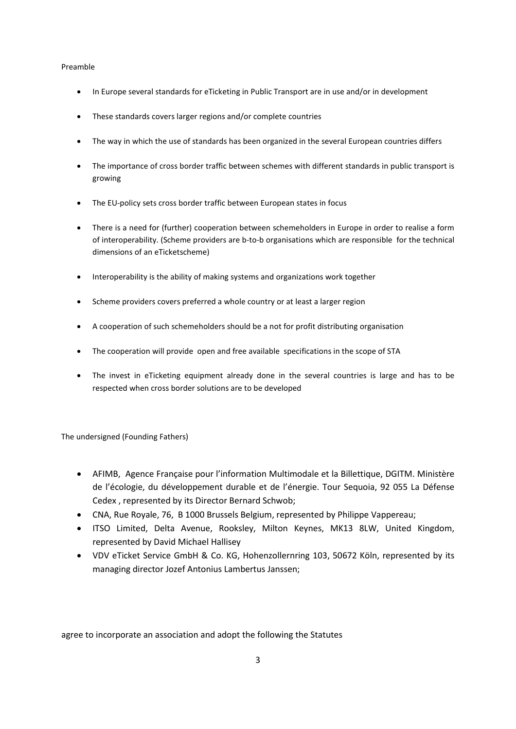#### Preamble

- In Europe several standards for eTicketing in Public Transport are in use and/or in development
- These standards covers larger regions and/or complete countries
- The way in which the use of standards has been organized in the several European countries differs
- The importance of cross border traffic between schemes with different standards in public transport is growing
- The EU-policy sets cross border traffic between European states in focus
- There is a need for (further) cooperation between schemeholders in Europe in order to realise a form of interoperability. (Scheme providers are b-to-b organisations which are responsible for the technical dimensions of an eTicketscheme)
- Interoperability is the ability of making systems and organizations work together
- Scheme providers covers preferred a whole country or at least a larger region
- A cooperation of such schemeholders should be a not for profit distributing organisation
- The cooperation will provide open and free available specifications in the scope of STA
- The invest in eTicketing equipment already done in the several countries is large and has to be respected when cross border solutions are to be developed

The undersigned (Founding Fathers)

- AFIMB, Agence Française pour l'information Multimodale et la Billettique, DGITM. Ministère de l'écologie, du développement durable et de l'énergie. Tour Sequoia, 92 055 La Défense Cedex , represented by its Director Bernard Schwob;
- CNA, Rue Royale, 76, B 1000 Brussels Belgium, represented by Philippe Vappereau;
- ITSO Limited, Delta Avenue, Rooksley, Milton Keynes, MK13 8LW, United Kingdom, represented by David Michael Hallisey
- VDV eTicket Service GmbH & Co. KG, Hohenzollernring 103, 50672 Köln, represented by its managing director Jozef Antonius Lambertus Janssen;

agree to incorporate an association and adopt the following the Statutes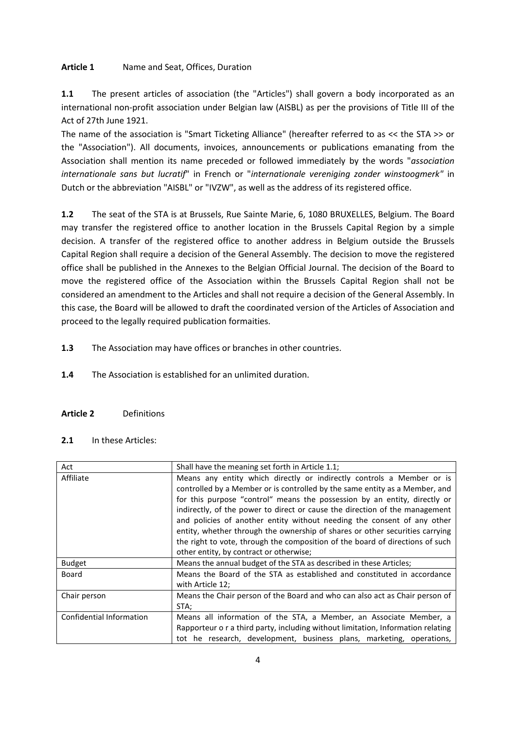# **Article 1** Name and Seat, Offices, Duration

**1.1** The present articles of association (the "Articles") shall govern a body incorporated as an international non-profit association under Belgian law (AISBL) as per the provisions of Title III of the Act of 27th June 1921.

The name of the association is "Smart Ticketing Alliance" (hereafter referred to as << the STA >> or the "Association"). All documents, invoices, announcements or publications emanating from the Association shall mention its name preceded or followed immediately by the words "*association internationale sans but lucratif*" in French or "*internationale vereniging zonder winstoogmerk"* in Dutch or the abbreviation "AISBL" or "IVZW", as well as the address of its registered office.

**1.2** The seat of the STA is at Brussels, Rue Sainte Marie, 6, 1080 BRUXELLES, Belgium. The Board may transfer the registered office to another location in the Brussels Capital Region by a simple decision. A transfer of the registered office to another address in Belgium outside the Brussels Capital Region shall require a decision of the General Assembly. The decision to move the registered office shall be published in the Annexes to the Belgian Official Journal. The decision of the Board to move the registered office of the Association within the Brussels Capital Region shall not be considered an amendment to the Articles and shall not require a decision of the General Assembly. In this case, the Board will be allowed to draft the coordinated version of the Articles of Association and proceed to the legally required publication formaities.

**1.3** The Association may have offices or branches in other countries.

- **1.4** The Association is established for an unlimited duration.
- **Article 2** Definitions
- **2.1** In these Articles:

| Act                      | Shall have the meaning set forth in Article 1.1;                                                                                                                                                                                                                                                                                                                                                                                                                                                                                                                                                        |
|--------------------------|---------------------------------------------------------------------------------------------------------------------------------------------------------------------------------------------------------------------------------------------------------------------------------------------------------------------------------------------------------------------------------------------------------------------------------------------------------------------------------------------------------------------------------------------------------------------------------------------------------|
| Affiliate                | Means any entity which directly or indirectly controls a Member or is<br>controlled by a Member or is controlled by the same entity as a Member, and<br>for this purpose "control" means the possession by an entity, directly or<br>indirectly, of the power to direct or cause the direction of the management<br>and policies of another entity without needing the consent of any other<br>entity, whether through the ownership of shares or other securities carrying<br>the right to vote, through the composition of the board of directions of such<br>other entity, by contract or otherwise; |
| <b>Budget</b>            | Means the annual budget of the STA as described in these Articles;                                                                                                                                                                                                                                                                                                                                                                                                                                                                                                                                      |
| Board                    | Means the Board of the STA as established and constituted in accordance<br>with Article 12;                                                                                                                                                                                                                                                                                                                                                                                                                                                                                                             |
| Chair person             | Means the Chair person of the Board and who can also act as Chair person of<br>STA;                                                                                                                                                                                                                                                                                                                                                                                                                                                                                                                     |
| Confidential Information | Means all information of the STA, a Member, an Associate Member, a<br>Rapporteur o r a third party, including without limitation, Information relating<br>tot he research, development, business plans, marketing, operations,                                                                                                                                                                                                                                                                                                                                                                          |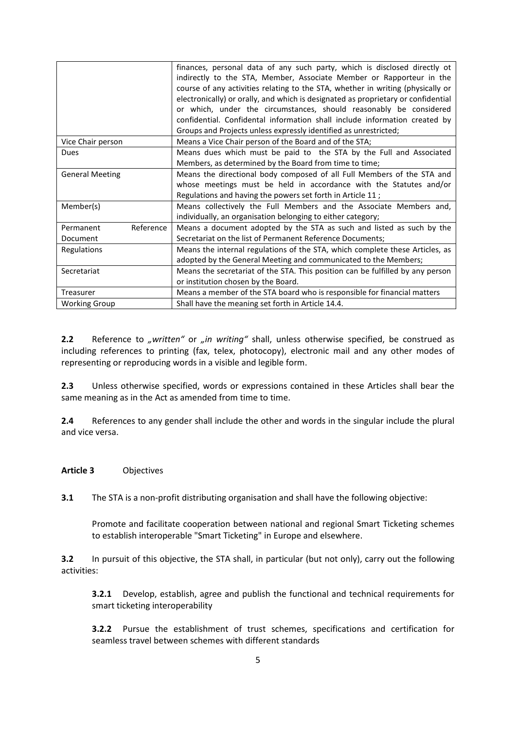|                        | finances, personal data of any such party, which is disclosed directly ot<br>indirectly to the STA, Member, Associate Member or Rapporteur in the<br>course of any activities relating to the STA, whether in writing (physically or<br>electronically) or orally, and which is designated as proprietary or confidential<br>or which, under the circumstances, should reasonably be considered |
|------------------------|-------------------------------------------------------------------------------------------------------------------------------------------------------------------------------------------------------------------------------------------------------------------------------------------------------------------------------------------------------------------------------------------------|
|                        | confidential. Confidental information shall include information created by                                                                                                                                                                                                                                                                                                                      |
|                        | Groups and Projects unless expressly identified as unrestricted;                                                                                                                                                                                                                                                                                                                                |
| Vice Chair person      | Means a Vice Chair person of the Board and of the STA;                                                                                                                                                                                                                                                                                                                                          |
| <b>Dues</b>            | Means dues which must be paid to the STA by the Full and Associated                                                                                                                                                                                                                                                                                                                             |
|                        | Members, as determined by the Board from time to time;                                                                                                                                                                                                                                                                                                                                          |
| <b>General Meeting</b> | Means the directional body composed of all Full Members of the STA and                                                                                                                                                                                                                                                                                                                          |
|                        | whose meetings must be held in accordance with the Statutes and/or                                                                                                                                                                                                                                                                                                                              |
|                        | Regulations and having the powers set forth in Article 11;                                                                                                                                                                                                                                                                                                                                      |
| Member(s)              | Means collectively the Full Members and the Associate Members and,                                                                                                                                                                                                                                                                                                                              |
|                        | individually, an organisation belonging to either category;                                                                                                                                                                                                                                                                                                                                     |
| Reference<br>Permanent | Means a document adopted by the STA as such and listed as such by the                                                                                                                                                                                                                                                                                                                           |
| Document               | Secretariat on the list of Permanent Reference Documents;                                                                                                                                                                                                                                                                                                                                       |
| Regulations            | Means the internal regulations of the STA, which complete these Articles, as                                                                                                                                                                                                                                                                                                                    |
|                        | adopted by the General Meeting and communicated to the Members;                                                                                                                                                                                                                                                                                                                                 |
| Secretariat            | Means the secretariat of the STA. This position can be fulfilled by any person                                                                                                                                                                                                                                                                                                                  |
|                        | or institution chosen by the Board.                                                                                                                                                                                                                                                                                                                                                             |
| Treasurer              | Means a member of the STA board who is responsible for financial matters                                                                                                                                                                                                                                                                                                                        |
| <b>Working Group</b>   | Shall have the meaning set forth in Article 14.4.                                                                                                                                                                                                                                                                                                                                               |

2.2 Reference to "written" or "in writing" shall, unless otherwise specified, be construed as including references to printing (fax, telex, photocopy), electronic mail and any other modes of representing or reproducing words in a visible and legible form.

**2.3** Unless otherwise specified, words or expressions contained in these Articles shall bear the same meaning as in the Act as amended from time to time.

**2.4** References to any gender shall include the other and words in the singular include the plural and vice versa.

# **Article 3** Objectives

**3.1** The STA is a non-profit distributing organisation and shall have the following objective:

Promote and facilitate cooperation between national and regional Smart Ticketing schemes to establish interoperable "Smart Ticketing" in Europe and elsewhere.

**3.2** In pursuit of this objective, the STA shall, in particular (but not only), carry out the following activities:

**3.2.1** Develop, establish, agree and publish the functional and technical requirements for smart ticketing interoperability

**3.2.2** Pursue the establishment of trust schemes, specifications and certification for seamless travel between schemes with different standards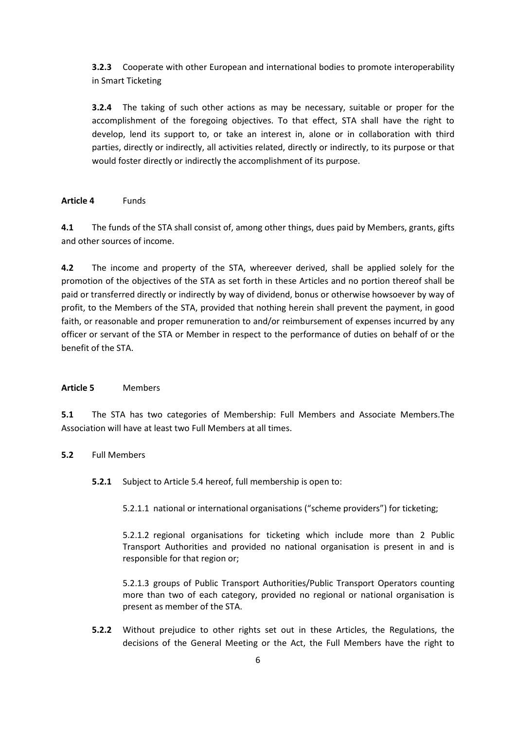**3.2.3** Cooperate with other European and international bodies to promote interoperability in Smart Ticketing

**3.2.4** The taking of such other actions as may be necessary, suitable or proper for the accomplishment of the foregoing objectives. To that effect, STA shall have the right to develop, lend its support to, or take an interest in, alone or in collaboration with third parties, directly or indirectly, all activities related, directly or indirectly, to its purpose or that would foster directly or indirectly the accomplishment of its purpose.

# **Article 4** Funds

**4.1** The funds of the STA shall consist of, among other things, dues paid by Members, grants, gifts and other sources of income.

**4.2** The income and property of the STA, whereever derived, shall be applied solely for the promotion of the objectives of the STA as set forth in these Articles and no portion thereof shall be paid or transferred directly or indirectly by way of dividend, bonus or otherwise howsoever by way of profit, to the Members of the STA, provided that nothing herein shall prevent the payment, in good faith, or reasonable and proper remuneration to and/or reimbursement of expenses incurred by any officer or servant of the STA or Member in respect to the performance of duties on behalf of or the benefit of the STA.

#### **Article 5** Members

**5.1** The STA has two categories of Membership: Full Members and Associate Members.The Association will have at least two Full Members at all times.

#### **5.2** Full Members

**5.2.1** Subject to Article 5.4 hereof, full membership is open to:

5.2.1.1 national or international organisations ("scheme providers") for ticketing;

5.2.1.2 regional organisations for ticketing which include more than 2 Public Transport Authorities and provided no national organisation is present in and is responsible for that region or;

5.2.1.3 groups of Public Transport Authorities/Public Transport Operators counting more than two of each category, provided no regional or national organisation is present as member of the STA.

**5.2.2** Without prejudice to other rights set out in these Articles, the Regulations, the decisions of the General Meeting or the Act, the Full Members have the right to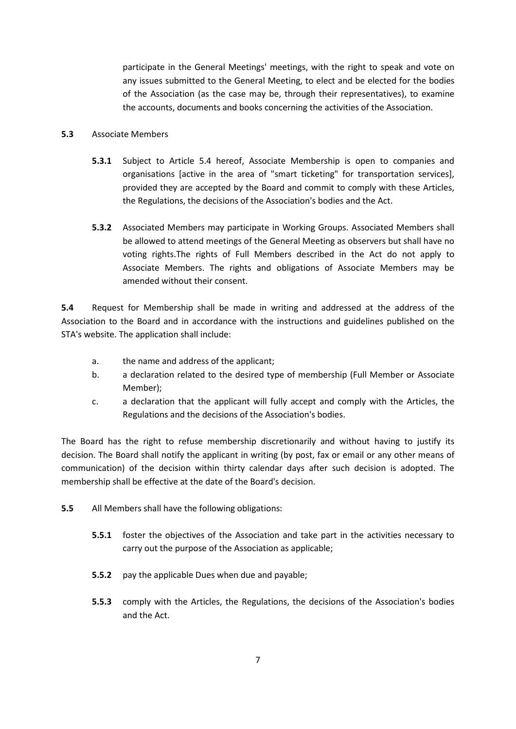participate in the General Meetings' meetings, with the right to speak and vote on any issues submitted to the General Meeting, to elect and be elected for the bodies of the Association (as the case may be, through their representatives), to examine the accounts, documents and books concerning the activities of the Association.

#### **5.3** Associate Members

- **5.3.1** Subject to Article 5.4 hereof, Associate Membership is open to companies and organisations [active in the area of "smart ticketing" for transportation services], provided they are accepted by the Board and commit to comply with these Articles, the Regulations, the decisions of the Association's bodies and the Act.
- **5.3.2** Associated Members may participate in Working Groups. Associated Members shall be allowed to attend meetings of the General Meeting as observers but shall have no voting rights.The rights of Full Members described in the Act do not apply to Associate Members. The rights and obligations of Associate Members may be amended without their consent.

**5.4** Request for Membership shall be made in writing and addressed at the address of the Association to the Board and in accordance with the instructions and guidelines published on the STA's website. The application shall include:

- a. the name and address of the applicant;
- b. a declaration related to the desired type of membership (Full Member or Associate Member);
- c. a declaration that the applicant will fully accept and comply with the Articles, the Regulations and the decisions of the Association's bodies.

The Board has the right to refuse membership discretionarily and without having to justify its decision. The Board shall notify the applicant in writing (by post, fax or email or any other means of communication) of the decision within thirty calendar days after such decision is adopted. The membership shall be effective at the date of the Board's decision.

- **5.5** All Members shall have the following obligations:
	- **5.5.1** foster the objectives of the Association and take part in the activities necessary to carry out the purpose of the Association as applicable;
	- **5.5.2** pay the applicable Dues when due and payable;
	- **5.5.3** comply with the Articles, the Regulations, the decisions of the Association's bodies and the Act.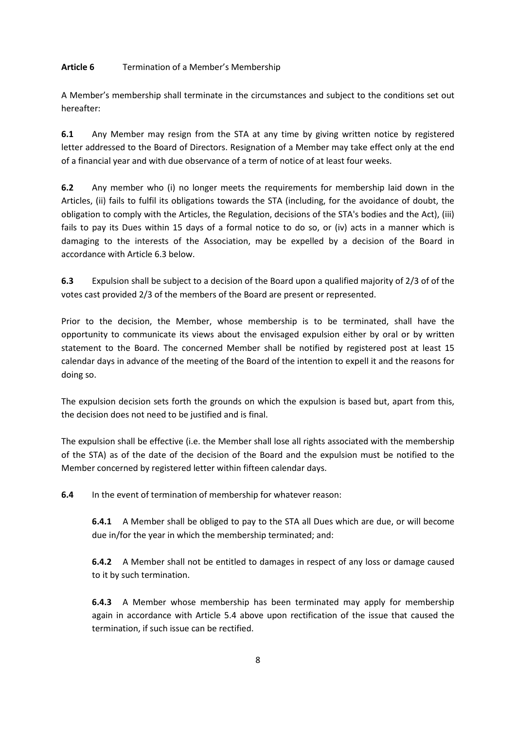# **Article 6** Termination of a Member's Membership

A Member's membership shall terminate in the circumstances and subject to the conditions set out hereafter:

**6.1** Any Member may resign from the STA at any time by giving written notice by registered letter addressed to the Board of Directors. Resignation of a Member may take effect only at the end of a financial year and with due observance of a term of notice of at least four weeks.

**6.2** Any member who (i) no longer meets the requirements for membership laid down in the Articles, (ii) fails to fulfil its obligations towards the STA (including, for the avoidance of doubt, the obligation to comply with the Articles, the Regulation, decisions of the STA's bodies and the Act), (iii) fails to pay its Dues within 15 days of a formal notice to do so, or (iv) acts in a manner which is damaging to the interests of the Association, may be expelled by a decision of the Board in accordance with Article 6.3 below.

**6.3** Expulsion shall be subject to a decision of the Board upon a qualified majority of 2/3 of of the votes cast provided 2/3 of the members of the Board are present or represented.

Prior to the decision, the Member, whose membership is to be terminated, shall have the opportunity to communicate its views about the envisaged expulsion either by oral or by written statement to the Board. The concerned Member shall be notified by registered post at least 15 calendar days in advance of the meeting of the Board of the intention to expell it and the reasons for doing so.

The expulsion decision sets forth the grounds on which the expulsion is based but, apart from this, the decision does not need to be justified and is final.

The expulsion shall be effective (i.e. the Member shall lose all rights associated with the membership of the STA) as of the date of the decision of the Board and the expulsion must be notified to the Member concerned by registered letter within fifteen calendar days.

**6.4** In the event of termination of membership for whatever reason:

**6.4.1** A Member shall be obliged to pay to the STA all Dues which are due, or will become due in/for the year in which the membership terminated; and:

**6.4.2** A Member shall not be entitled to damages in respect of any loss or damage caused to it by such termination.

**6.4.3** A Member whose membership has been terminated may apply for membership again in accordance with Article 5.4 above upon rectification of the issue that caused the termination, if such issue can be rectified.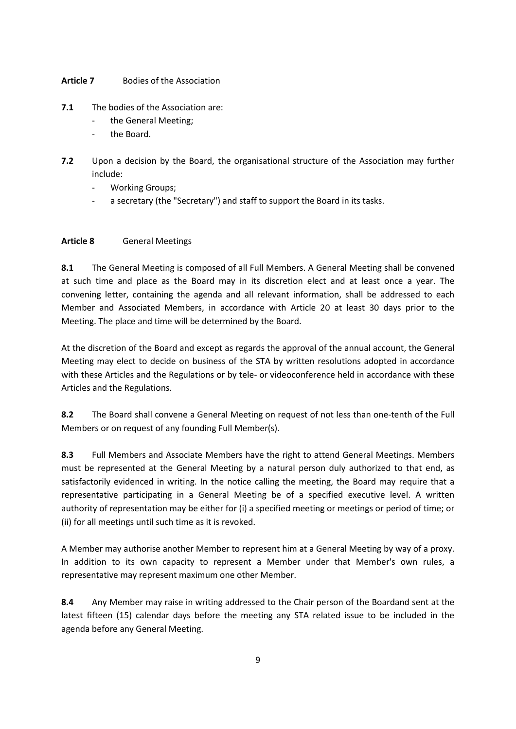# **Article 7** Bodies of the Association

- **7.1** The bodies of the Association are:
	- the General Meeting;
	- the Board.
- **7.2** Upon a decision by the Board, the organisational structure of the Association may further include:
	- Working Groups;
	- a secretary (the "Secretary") and staff to support the Board in its tasks.

# **Article 8** General Meetings

**8.1** The General Meeting is composed of all Full Members. A General Meeting shall be convened at such time and place as the Board may in its discretion elect and at least once a year. The convening letter, containing the agenda and all relevant information, shall be addressed to each Member and Associated Members, in accordance with Article 20 at least 30 days prior to the Meeting. The place and time will be determined by the Board.

At the discretion of the Board and except as regards the approval of the annual account, the General Meeting may elect to decide on business of the STA by written resolutions adopted in accordance with these Articles and the Regulations or by tele- or videoconference held in accordance with these Articles and the Regulations.

**8.2** The Board shall convene a General Meeting on request of not less than one-tenth of the Full Members or on request of any founding Full Member(s).

**8.3** Full Members and Associate Members have the right to attend General Meetings. Members must be represented at the General Meeting by a natural person duly authorized to that end, as satisfactorily evidenced in writing. In the notice calling the meeting, the Board may require that a representative participating in a General Meeting be of a specified executive level. A written authority of representation may be either for (i) a specified meeting or meetings or period of time; or (ii) for all meetings until such time as it is revoked.

A Member may authorise another Member to represent him at a General Meeting by way of a proxy. In addition to its own capacity to represent a Member under that Member's own rules, a representative may represent maximum one other Member.

**8.4** Any Member may raise in writing addressed to the Chair person of the Boardand sent at the latest fifteen (15) calendar days before the meeting any STA related issue to be included in the agenda before any General Meeting.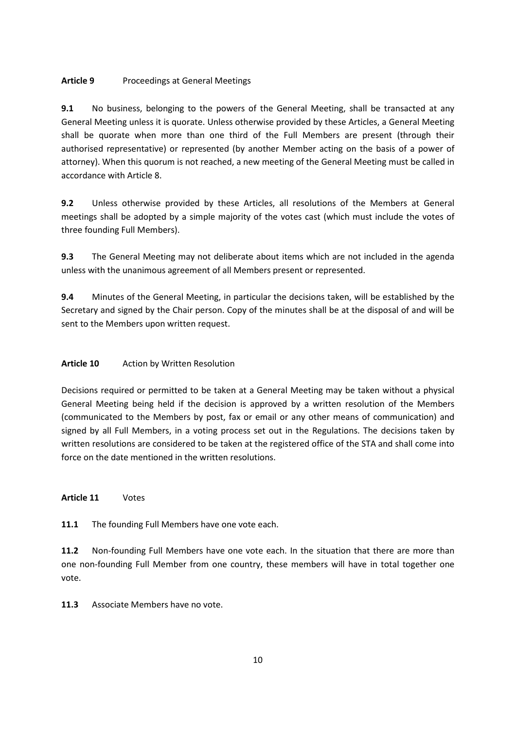# **Article 9** Proceedings at General Meetings

**9.1** No business, belonging to the powers of the General Meeting, shall be transacted at any General Meeting unless it is quorate. Unless otherwise provided by these Articles, a General Meeting shall be quorate when more than one third of the Full Members are present (through their authorised representative) or represented (by another Member acting on the basis of a power of attorney). When this quorum is not reached, a new meeting of the General Meeting must be called in accordance with Article 8.

**9.2** Unless otherwise provided by these Articles, all resolutions of the Members at General meetings shall be adopted by a simple majority of the votes cast (which must include the votes of three founding Full Members).

**9.3** The General Meeting may not deliberate about items which are not included in the agenda unless with the unanimous agreement of all Members present or represented.

**9.4** Minutes of the General Meeting, in particular the decisions taken, will be established by the Secretary and signed by the Chair person. Copy of the minutes shall be at the disposal of and will be sent to the Members upon written request.

# **Article 10** Action by Written Resolution

Decisions required or permitted to be taken at a General Meeting may be taken without a physical General Meeting being held if the decision is approved by a written resolution of the Members (communicated to the Members by post, fax or email or any other means of communication) and signed by all Full Members, in a voting process set out in the Regulations. The decisions taken by written resolutions are considered to be taken at the registered office of the STA and shall come into force on the date mentioned in the written resolutions.

**Article 11** Votes

**11.1** The founding Full Members have one vote each.

**11.2** Non-founding Full Members have one vote each. In the situation that there are more than one non-founding Full Member from one country, these members will have in total together one vote.

**11.3** Associate Members have no vote.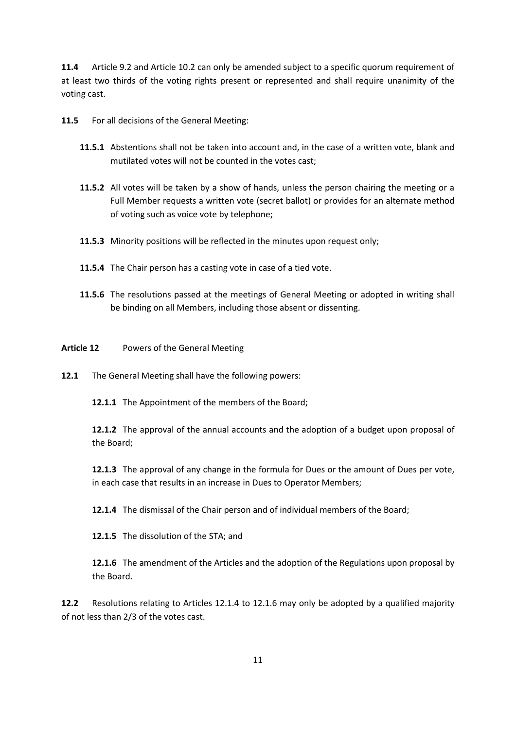**11.4** Article 9.2 and Article 10.2 can only be amended subject to a specific quorum requirement of at least two thirds of the voting rights present or represented and shall require unanimity of the voting cast.

**11.5** For all decisions of the General Meeting:

- **11.5.1** Abstentions shall not be taken into account and, in the case of a written vote, blank and mutilated votes will not be counted in the votes cast;
- **11.5.2** All votes will be taken by a show of hands, unless the person chairing the meeting or a Full Member requests a written vote (secret ballot) or provides for an alternate method of voting such as voice vote by telephone;
- **11.5.3** Minority positions will be reflected in the minutes upon request only;
- **11.5.4** The Chair person has a casting vote in case of a tied vote.
- **11.5.6** The resolutions passed at the meetings of General Meeting or adopted in writing shall be binding on all Members, including those absent or dissenting.
- **Article 12** Powers of the General Meeting
- **12.1** The General Meeting shall have the following powers:

**12.1.1** The Appointment of the members of the Board;

**12.1.2** The approval of the annual accounts and the adoption of a budget upon proposal of the Board;

**12.1.3** The approval of any change in the formula for Dues or the amount of Dues per vote, in each case that results in an increase in Dues to Operator Members;

**12.1.4** The dismissal of the Chair person and of individual members of the Board;

**12.1.5** The dissolution of the STA; and

**12.1.6** The amendment of the Articles and the adoption of the Regulations upon proposal by the Board.

**12.2** Resolutions relating to Articles 12.1.4 to 12.1.6 may only be adopted by a qualified majority of not less than 2/3 of the votes cast.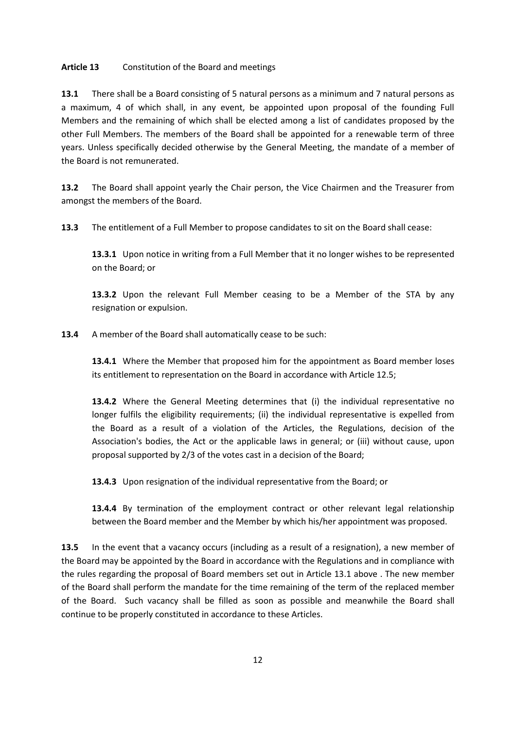# **Article 13** Constitution of the Board and meetings

**13.1** There shall be a Board consisting of 5 natural persons as a minimum and 7 natural persons as a maximum, 4 of which shall, in any event, be appointed upon proposal of the founding Full Members and the remaining of which shall be elected among a list of candidates proposed by the other Full Members. The members of the Board shall be appointed for a renewable term of three years. Unless specifically decided otherwise by the General Meeting, the mandate of a member of the Board is not remunerated.

**13.2** The Board shall appoint yearly the Chair person, the Vice Chairmen and the Treasurer from amongst the members of the Board.

**13.3** The entitlement of a Full Member to propose candidates to sit on the Board shall cease:

**13.3.1** Upon notice in writing from a Full Member that it no longer wishes to be represented on the Board; or

**13.3.2** Upon the relevant Full Member ceasing to be a Member of the STA by any resignation or expulsion.

**13.4** A member of the Board shall automatically cease to be such:

**13.4.1** Where the Member that proposed him for the appointment as Board member loses its entitlement to representation on the Board in accordance with Article 12.5;

**13.4.2** Where the General Meeting determines that (i) the individual representative no longer fulfils the eligibility requirements; (ii) the individual representative is expelled from the Board as a result of a violation of the Articles, the Regulations, decision of the Association's bodies, the Act or the applicable laws in general; or (iii) without cause, upon proposal supported by 2/3 of the votes cast in a decision of the Board;

**13.4.3** Upon resignation of the individual representative from the Board; or

**13.4.4** By termination of the employment contract or other relevant legal relationship between the Board member and the Member by which his/her appointment was proposed.

**13.5** In the event that a vacancy occurs (including as a result of a resignation), a new member of the Board may be appointed by the Board in accordance with the Regulations and in compliance with the rules regarding the proposal of Board members set out in Article 13.1 above . The new member of the Board shall perform the mandate for the time remaining of the term of the replaced member of the Board. Such vacancy shall be filled as soon as possible and meanwhile the Board shall continue to be properly constituted in accordance to these Articles.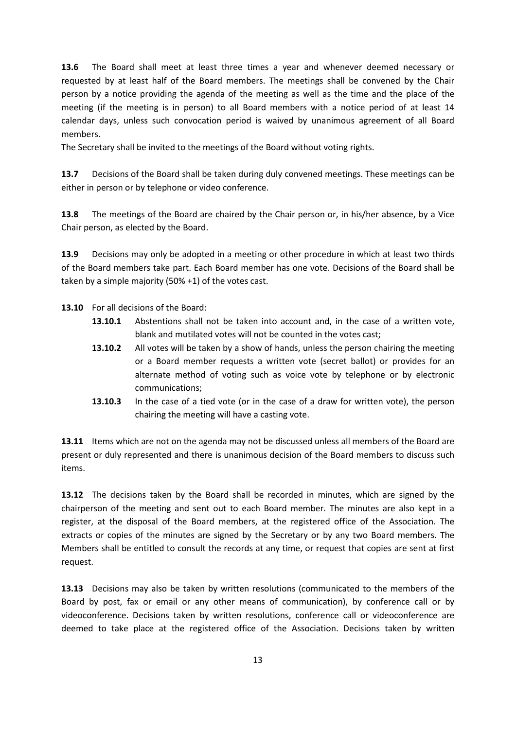**13.6** The Board shall meet at least three times a year and whenever deemed necessary or requested by at least half of the Board members. The meetings shall be convened by the Chair person by a notice providing the agenda of the meeting as well as the time and the place of the meeting (if the meeting is in person) to all Board members with a notice period of at least 14 calendar days, unless such convocation period is waived by unanimous agreement of all Board members.

The Secretary shall be invited to the meetings of the Board without voting rights.

**13.7** Decisions of the Board shall be taken during duly convened meetings. These meetings can be either in person or by telephone or video conference.

**13.8** The meetings of the Board are chaired by the Chair person or, in his/her absence, by a Vice Chair person, as elected by the Board.

**13.9** Decisions may only be adopted in a meeting or other procedure in which at least two thirds of the Board members take part. Each Board member has one vote. Decisions of the Board shall be taken by a simple majority (50% +1) of the votes cast.

**13.10** For all decisions of the Board:

- **13.10.1** Abstentions shall not be taken into account and, in the case of a written vote, blank and mutilated votes will not be counted in the votes cast;
- **13.10.2** All votes will be taken by a show of hands, unless the person chairing the meeting or a Board member requests a written vote (secret ballot) or provides for an alternate method of voting such as voice vote by telephone or by electronic communications;
- **13.10.3** In the case of a tied vote (or in the case of a draw for written vote), the person chairing the meeting will have a casting vote.

**13.11** Items which are not on the agenda may not be discussed unless all members of the Board are present or duly represented and there is unanimous decision of the Board members to discuss such items.

**13.12** The decisions taken by the Board shall be recorded in minutes, which are signed by the chairperson of the meeting and sent out to each Board member. The minutes are also kept in a register, at the disposal of the Board members, at the registered office of the Association. The extracts or copies of the minutes are signed by the Secretary or by any two Board members. The Members shall be entitled to consult the records at any time, or request that copies are sent at first request.

**13.13** Decisions may also be taken by written resolutions (communicated to the members of the Board by post, fax or email or any other means of communication), by conference call or by videoconference. Decisions taken by written resolutions, conference call or videoconference are deemed to take place at the registered office of the Association. Decisions taken by written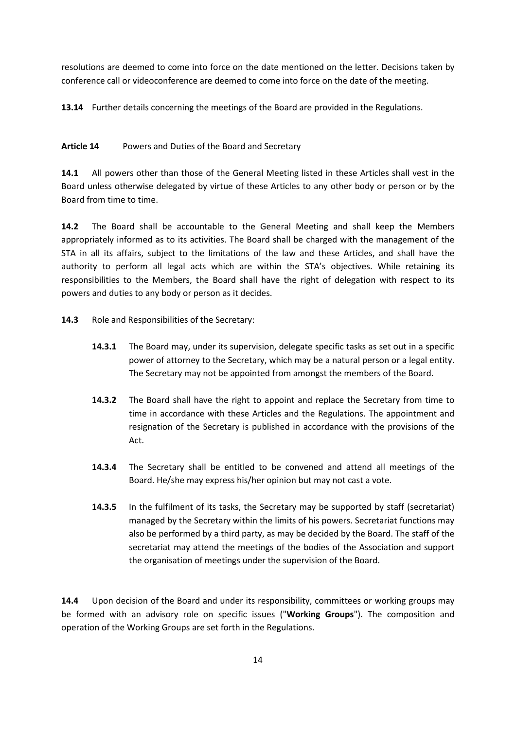resolutions are deemed to come into force on the date mentioned on the letter. Decisions taken by conference call or videoconference are deemed to come into force on the date of the meeting.

**13.14** Further details concerning the meetings of the Board are provided in the Regulations.

# **Article 14** Powers and Duties of the Board and Secretary

**14.1** All powers other than those of the General Meeting listed in these Articles shall vest in the Board unless otherwise delegated by virtue of these Articles to any other body or person or by the Board from time to time.

**14.2** The Board shall be accountable to the General Meeting and shall keep the Members appropriately informed as to its activities. The Board shall be charged with the management of the STA in all its affairs, subject to the limitations of the law and these Articles, and shall have the authority to perform all legal acts which are within the STA's objectives. While retaining its responsibilities to the Members, the Board shall have the right of delegation with respect to its powers and duties to any body or person as it decides.

- **14.3** Role and Responsibilities of the Secretary:
	- **14.3.1** The Board may, under its supervision, delegate specific tasks as set out in a specific power of attorney to the Secretary, which may be a natural person or a legal entity. The Secretary may not be appointed from amongst the members of the Board.
	- **14.3.2** The Board shall have the right to appoint and replace the Secretary from time to time in accordance with these Articles and the Regulations. The appointment and resignation of the Secretary is published in accordance with the provisions of the Act.
	- **14.3.4** The Secretary shall be entitled to be convened and attend all meetings of the Board. He/she may express his/her opinion but may not cast a vote.
	- **14.3.5** In the fulfilment of its tasks, the Secretary may be supported by staff (secretariat) managed by the Secretary within the limits of his powers. Secretariat functions may also be performed by a third party, as may be decided by the Board. The staff of the secretariat may attend the meetings of the bodies of the Association and support the organisation of meetings under the supervision of the Board.

**14.4** Upon decision of the Board and under its responsibility, committees or working groups may be formed with an advisory role on specific issues ("**Working Groups**"). The composition and operation of the Working Groups are set forth in the Regulations.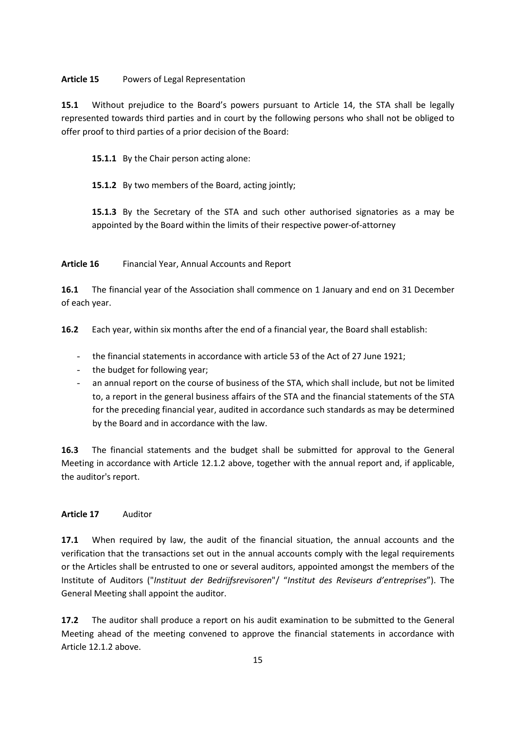#### **Article 15** Powers of Legal Representation

**15.1** Without prejudice to the Board's powers pursuant to Article 14, the STA shall be legally represented towards third parties and in court by the following persons who shall not be obliged to offer proof to third parties of a prior decision of the Board:

15.1.1 By the Chair person acting alone:

**15.1.2** By two members of the Board, acting jointly;

**15.1.3** By the Secretary of the STA and such other authorised signatories as a may be appointed by the Board within the limits of their respective power-of-attorney

**Article 16** Financial Year, Annual Accounts and Report

**16.1** The financial year of the Association shall commence on 1 January and end on 31 December of each year.

**16.2** Each year, within six months after the end of a financial year, the Board shall establish:

- the financial statements in accordance with article 53 of the Act of 27 June 1921;
- the budget for following year;
- an annual report on the course of business of the STA, which shall include, but not be limited to, a report in the general business affairs of the STA and the financial statements of the STA for the preceding financial year, audited in accordance such standards as may be determined by the Board and in accordance with the law.

**16.3** The financial statements and the budget shall be submitted for approval to the General Meeting in accordance with Article 12.1.2 above, together with the annual report and, if applicable, the auditor's report.

# **Article 17** Auditor

**17.1** When required by law, the audit of the financial situation, the annual accounts and the verification that the transactions set out in the annual accounts comply with the legal requirements or the Articles shall be entrusted to one or several auditors, appointed amongst the members of the Institute of Auditors ("*Instituut der Bedrijfsrevisoren*"/ "*Institut des Reviseurs d'entreprises*"). The General Meeting shall appoint the auditor.

**17.2** The auditor shall produce a report on his audit examination to be submitted to the General Meeting ahead of the meeting convened to approve the financial statements in accordance with Article 12.1.2 above.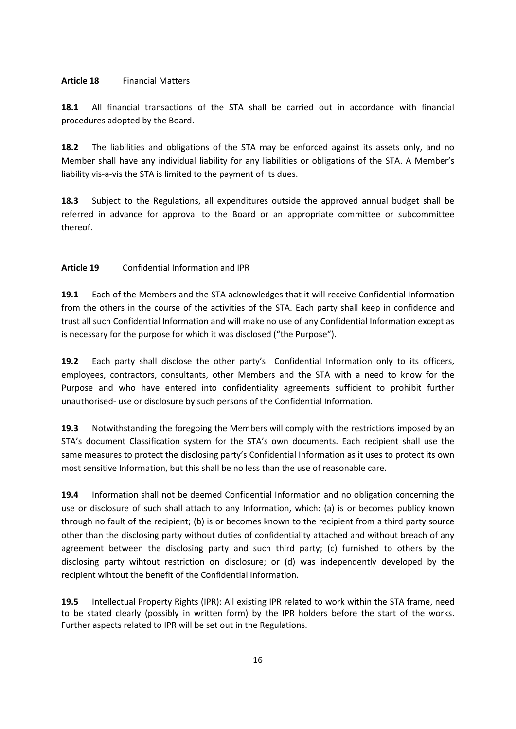#### **Article 18** Financial Matters

**18.1** All financial transactions of the STA shall be carried out in accordance with financial procedures adopted by the Board.

**18.2** The liabilities and obligations of the STA may be enforced against its assets only, and no Member shall have any individual liability for any liabilities or obligations of the STA. A Member's liability vis-a-vis the STA is limited to the payment of its dues.

**18.3** Subject to the Regulations, all expenditures outside the approved annual budget shall be referred in advance for approval to the Board or an appropriate committee or subcommittee thereof.

#### **Article 19** Confidential Information and IPR

**19.1** Each of the Members and the STA acknowledges that it will receive Confidential Information from the others in the course of the activities of the STA. Each party shall keep in confidence and trust all such Confidential Information and will make no use of any Confidential Information except as is necessary for the purpose for which it was disclosed ("the Purpose").

**19.2** Each party shall disclose the other party's Confidential Information only to its officers, employees, contractors, consultants, other Members and the STA with a need to know for the Purpose and who have entered into confidentiality agreements sufficient to prohibit further unauthorised- use or disclosure by such persons of the Confidential Information.

**19.3** Notwithstanding the foregoing the Members will comply with the restrictions imposed by an STA's document Classification system for the STA's own documents. Each recipient shall use the same measures to protect the disclosing party's Confidential Information as it uses to protect its own most sensitive Information, but this shall be no less than the use of reasonable care.

**19.4** Information shall not be deemed Confidential Information and no obligation concerning the use or disclosure of such shall attach to any Information, which: (a) is or becomes publicy known through no fault of the recipient; (b) is or becomes known to the recipient from a third party source other than the disclosing party without duties of confidentiality attached and without breach of any agreement between the disclosing party and such third party; (c) furnished to others by the disclosing party wihtout restriction on disclosure; or (d) was independently developed by the recipient wihtout the benefit of the Confidential Information.

**19.5** Intellectual Property Rights (IPR): All existing IPR related to work within the STA frame, need to be stated clearly (possibly in written form) by the IPR holders before the start of the works. Further aspects related to IPR will be set out in the Regulations.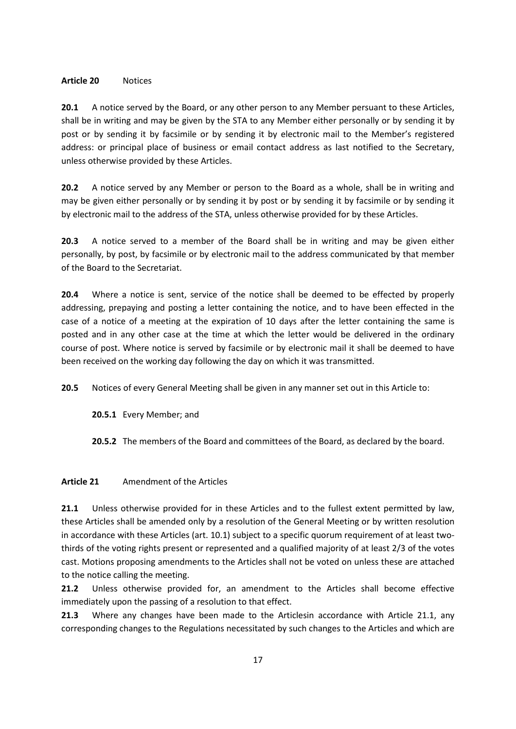#### **Article 20** Notices

**20.1** A notice served by the Board, or any other person to any Member persuant to these Articles, shall be in writing and may be given by the STA to any Member either personally or by sending it by post or by sending it by facsimile or by sending it by electronic mail to the Member's registered address: or principal place of business or email contact address as last notified to the Secretary, unless otherwise provided by these Articles.

**20.2** A notice served by any Member or person to the Board as a whole, shall be in writing and may be given either personally or by sending it by post or by sending it by facsimile or by sending it by electronic mail to the address of the STA, unless otherwise provided for by these Articles.

**20.3** A notice served to a member of the Board shall be in writing and may be given either personally, by post, by facsimile or by electronic mail to the address communicated by that member of the Board to the Secretariat.

**20.4** Where a notice is sent, service of the notice shall be deemed to be effected by properly addressing, prepaying and posting a letter containing the notice, and to have been effected in the case of a notice of a meeting at the expiration of 10 days after the letter containing the same is posted and in any other case at the time at which the letter would be delivered in the ordinary course of post. Where notice is served by facsimile or by electronic mail it shall be deemed to have been received on the working day following the day on which it was transmitted.

**20.5** Notices of every General Meeting shall be given in any manner set out in this Article to:

**20.5.1** Every Member; and

**20.5.2** The members of the Board and committees of the Board, as declared by the board.

# **Article 21** Amendment of the Articles

**21.1** Unless otherwise provided for in these Articles and to the fullest extent permitted by law, these Articles shall be amended only by a resolution of the General Meeting or by written resolution in accordance with these Articles (art. 10.1) subject to a specific quorum requirement of at least twothirds of the voting rights present or represented and a qualified majority of at least 2/3 of the votes cast. Motions proposing amendments to the Articles shall not be voted on unless these are attached to the notice calling the meeting.

**21.2** Unless otherwise provided for, an amendment to the Articles shall become effective immediately upon the passing of a resolution to that effect.

**21.3** Where any changes have been made to the Articlesin accordance with Article 21.1, any corresponding changes to the Regulations necessitated by such changes to the Articles and which are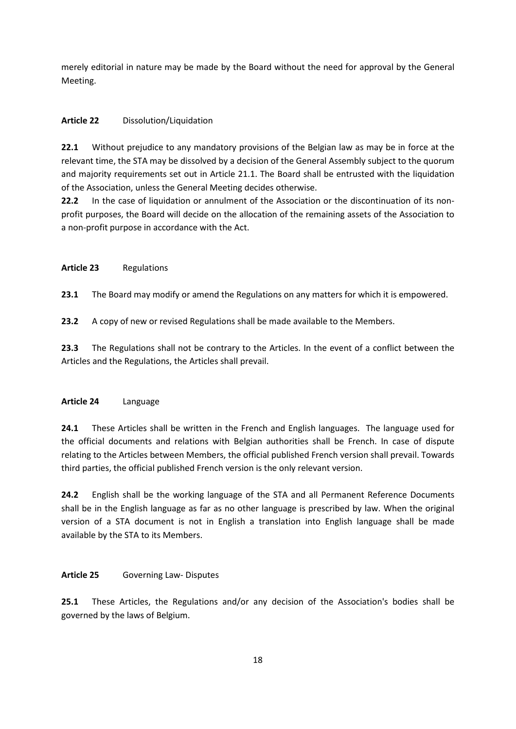merely editorial in nature may be made by the Board without the need for approval by the General Meeting.

# **Article 22** Dissolution/Liquidation

**22.1** Without prejudice to any mandatory provisions of the Belgian law as may be in force at the relevant time, the STA may be dissolved by a decision of the General Assembly subject to the quorum and majority requirements set out in Article 21.1. The Board shall be entrusted with the liquidation of the Association, unless the General Meeting decides otherwise.

**22.2** In the case of liquidation or annulment of the Association or the discontinuation of its nonprofit purposes, the Board will decide on the allocation of the remaining assets of the Association to a non-profit purpose in accordance with the Act.

# **Article 23** Regulations

**23.1** The Board may modify or amend the Regulations on any matters for which it is empowered.

**23.2** A copy of new or revised Regulations shall be made available to the Members.

**23.3** The Regulations shall not be contrary to the Articles. In the event of a conflict between the Articles and the Regulations, the Articles shall prevail.

# **Article 24** Language

**24.1** These Articles shall be written in the French and English languages. The language used for the official documents and relations with Belgian authorities shall be French. In case of dispute relating to the Articles between Members, the official published French version shall prevail. Towards third parties, the official published French version is the only relevant version.

**24.2** English shall be the working language of the STA and all Permanent Reference Documents shall be in the English language as far as no other language is prescribed by law. When the original version of a STA document is not in English a translation into English language shall be made available by the STA to its Members.

# **Article 25** Governing Law- Disputes

**25.1** These Articles, the Regulations and/or any decision of the Association's bodies shall be governed by the laws of Belgium.